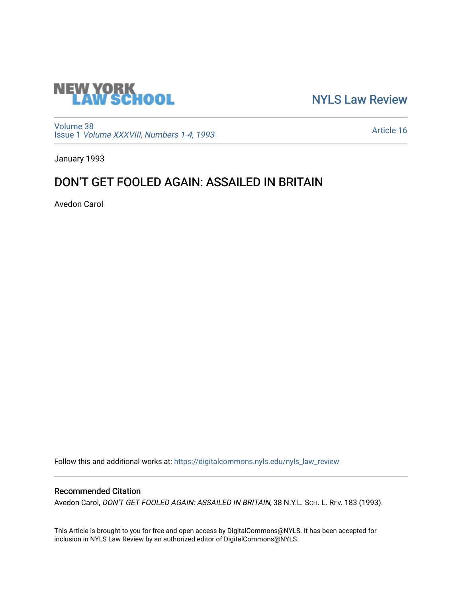

[NYLS Law Review](https://digitalcommons.nyls.edu/nyls_law_review) 

[Volume 38](https://digitalcommons.nyls.edu/nyls_law_review/vol38) Issue 1 [Volume XXXVIII, Numbers 1-4, 1993](https://digitalcommons.nyls.edu/nyls_law_review/vol38/iss1)

[Article 16](https://digitalcommons.nyls.edu/nyls_law_review/vol38/iss1/16) 

January 1993

# DON'T GET FOOLED AGAIN: ASSAILED IN BRITAIN

Avedon Carol

Follow this and additional works at: [https://digitalcommons.nyls.edu/nyls\\_law\\_review](https://digitalcommons.nyls.edu/nyls_law_review?utm_source=digitalcommons.nyls.edu%2Fnyls_law_review%2Fvol38%2Fiss1%2F16&utm_medium=PDF&utm_campaign=PDFCoverPages) 

## Recommended Citation

Avedon Carol, DON'T GET FOOLED AGAIN: ASSAILED IN BRITAIN, 38 N.Y.L. SCH. L. REV. 183 (1993).

This Article is brought to you for free and open access by DigitalCommons@NYLS. It has been accepted for inclusion in NYLS Law Review by an authorized editor of DigitalCommons@NYLS.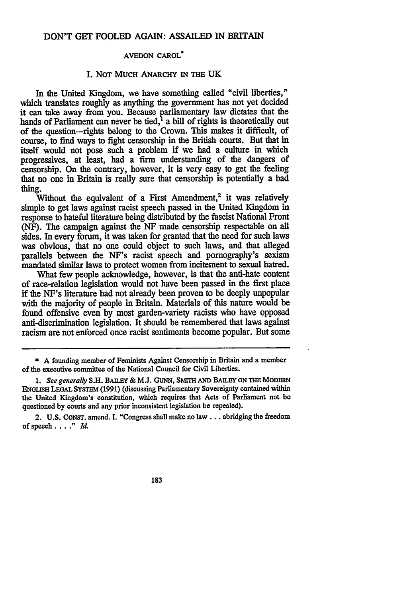## **AVEDON** CAROL"

## **I.** NOT MUCH ANARCHY IN THE **UK**

In the United Kingdom, we have something called "civil liberties," which translates roughly as anything the government has not yet decided it can take away from you. Because parliamentary law dictates that the hands of Parliament can never be tied,<sup>1</sup> a bill of rights is theoretically out of the question-rights belong to the Crown. This makes it difficult, of course, to find ways to fight censorship in the British courts. But that in itself would not pose such a problem if we had a culture in which progressives, at least, had a firm understanding of the dangers of censorship. On the contrary, however, it is very easy to get the feeling that no one in Britain is really sure that censorship is potentially a bad thing.

Without the equivalent of a First Amendment,<sup>2</sup> it was relatively simple to get laws against racist speech passed in the United Kingdom in response to hateful literature being distributed **by** the fascist National Front (NF). The campaign against the **NF** made censorship respectable on all sides. In every forum, it was taken for granted that the need for such laws was obvious, that no one could object to such laws, and that alleged parallels between the NF's racist speech and pornography's sexism mandated similar laws to protect women from incitement to sexual hatred.

What few people acknowledge, however, is that the anti-hate content of race-relation legislation would not have been passed in the first place if the NF's literature had not already been proven to be deeply unpopular with the majority of people in Britain. Materials of this nature would be found offensive even by most garden-variety racists who have opposed anti-discrimination legislation. It should be remembered that laws against racism are not enforced once racist sentiments become popular. But some

2. **U.S. CONST.** amend. I. "Congress shall make no law **...** abridging the freedom of speech...." *Id.*

183

<sup>\*</sup> A founding member of Feminists Against Censorship in Britain and a member of the executive committee of the National Council for Civil Liberties.

*<sup>1.</sup> See generally* **S.H. BAILEY** & **M.J. GUNN,** SMITH **AND** BAILEY **ON THE** MODERN **ENOLISH LEOAL** SYSTEm **(1991)** (discussing Parliamentary Sovereignty contained within the United Kingdom's constitution, which requires that Acts of Parliament not be questioned **by** courts and any prior inconsistent legislation be repealed).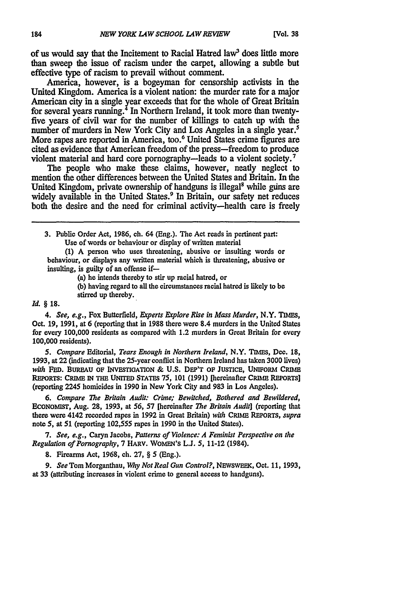of us would say that the Incitement to Racial Hatred law' does little more than sweep the issue of racism under the carpet, allowing a subtle but effective type of racism to prevail without comment.

America, however, is a bogeyman for censorship activists in the United Kingdom. America is a violent nation: the murder rate for a major American city in a single year exceeds that for the whole of Great Britain for several years running. $^{4}$  In Northern Ireland, it took more than twentyfive years of civil war for the number of killings to catch up with the number of murders in New York City and Los Angeles in a single year.<sup>5</sup> More rapes are reported in America, too.<sup>6</sup> United States crime figures are cited as evidence that American freedom of the press-freedom to produce violent material and hard core pornography-leads to a violent society.<sup>7</sup>

The people who make these claims, however, neatly neglect to mention the other differences between the United States and Britain. In the United Kingdom, private ownership of handguns is illegal<sup>8</sup> while guns are widely available in the United States.<sup>9</sup> In Britain, our safety net reduces both the desire and the need for criminal activity-health care is freely

**3.** Public Order Act, **1986,** ch. 64 (Eng.). The Act reads in pertinent part: Use of words or behaviour or display of written material

**(1) A** person who uses threatening, abusive or insulting words or behaviour, or displays any written material which is threatening, abusive or insulting, is guilty of an offense if-

(a) he intends thereby to stir up racial hatred, or

**(b)** having regard to all the circumstances racial hatred is **likely** to **be** stirred up thereby.

#### *Id.* § **18.**

*4. See, e.g.,* Fox Butterfield, *Experts Explore Rise in Mass Murder,* N.Y. TIMEs, Oct. 19, 1991, at 6 (reporting that in **1988** there were 8.4 murders in the United States for every 100,000 residents as compared with 1.2 murders in Great Britain for every 100,000 residents).

*5. Compare* Editorial, *Tears Enough in Northern Ireland,* N.Y. TIMiES, Dec. **18,** 1993, at 22 (indicating that the 25-year conflict in Northern Ireland has taken 3000 lives) *with* FED. BUREAU **OF** INVESTIGATION **& U.S.** DEP'T **OF JUSTICE, UNIFORM CRIME** REPORTS: CRIME IN THE UNITED STATES 75, 101 (1991) [hereinafter CRIME REPORTS] (reporting 2245 homicides in **1990** in New York City and **983** in Los Angeles).

*6. Compare The* Britain *Audit: Crime; Bewitched, Bothered and Bewildered,* **ECONOMST,** Aug. **28, 1993,** at **56, 57** [hereinafter *The Britain Audit]* (reporting that there were 4142 recorded rapes in **1992** in Great Britain) *with* CRIME REPORTS, *supra* note 5, at 51 (reporting 102,555 rapes in 1990 in the United States).

*7. See, e.g.,* Caryn Jacobs, *Patterns of Violence: A Feminist Perspective on the Regulation of Pornography,* 7 HARV. WOMEN'S L.J. 5, 11-12 (1984).

**8.** Firearms Act, 1968, ch. **27,** § 5 (Eng.).

*9. See* Tom Morganthau, *Why Not Real Gun Control?,* NEWSWEEK, Oct. 11, 1993, at 33 (attributing increases in violent crime to general access to handguns).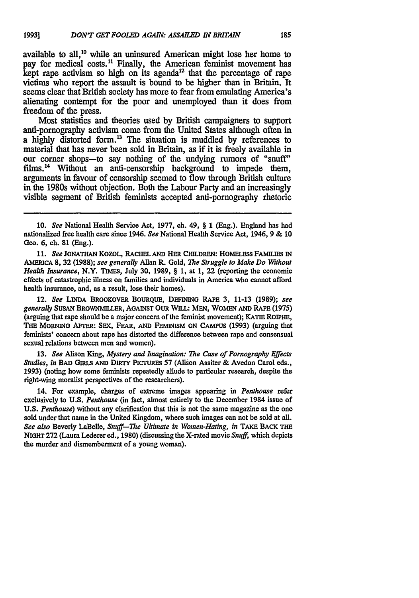available to all,10 while an uninsured American might lose her home to pay for medical costs.<sup>11</sup> Finally, the American feminist movement has kept rape activism so high on its agenda<sup>12</sup> that the percentage of rape victims who report the assault is bound to be higher **than** in Britain. It seems clear that British society has more to fear from emulating America's alienating contempt for the poor and unemployed than it does from freedom of the press.

Most statistics and theories used **by** British campaigners to support anti-pornography activism come from the United States although often in a highly distorted form.<sup>13</sup> The situation is muddled by references to material that has never been sold in Britain, as if it is freely available in our corner shops-to say nothing of the undying rumors of "snuff" films.<sup>14</sup> Without an anti-censorship background to impede them, arguments in favour of censorship seemed to flow through British culture in the 1980s without objection. Both the Labour Party and an increasingly visible segment of British feminists accepted anti-pornography rhetoric

**11.** *See* JONATHAN KOZOL, RACHEL **AND** HER CHILDREN: **HOMELESS FAMILmS IN** AMERICA **8, 32 (1988);** *see generally* Allan R. Gold, *The Struggle to Make Do Without Health Insurance,* N.Y. **TIMES,** July **30, 1989,** § **1,** at **1,** 22 (reporting the economic effects of catastrophic illness on families and individuals in America who cannot afford health insurance, and, as a result, lose their homes).

12. *See* **LINDA** BROoKOvER BOURQUE, DEFINING RAPE **3, 11-13 (1989);** *see generally* **SUSAN** BROWNMILLER, **AGAINST** OUR WILL: **MEN,** WOMEN **AND RAPE** (1975) (arguing that rape should be a major concern of the feminist movement); KATIE ROPHE, THE MORNING AFrER: SEX, FEAR, **AND** FEmNISM ON **CAMPUS (1993)** (arguing that feminists' concern about rape has distorted the difference between rape and consensual sexual relations between men and women).

**13.** *See* Alison King, *Mystery and Imagination: The Case of Pornography Effects Studies, in* **BAD GIRLs AND DIRTY PiCTUREs 57** (Alison Assiter **&** Avedon Carol eds., **1993)** (noting how some feminists repeatedly allude to particular research, despite the right-wing moralist perspectives of the researchers).

14. For example, charges of extreme images appearing in *Penthouse* refer exclusively to **U.S.** *Penthouse* (in fact, almost entirely to the December 1984 issue of **U.S.** *Penthouse)* without any clarification that this is not the same magazine as the one sold under that name in the United Kingdom, where such images can not be sold at all. *See also* Beverly LaBelle, *Snuff-The Ultimate in Women-Hating, in* **TAKE** BACK **THE** NIGHT **272** (Laura Lederer ed., **1980)** (discussing the X-rated movie *Snuff,* which depicts the murder and dismemberment of a young woman).

**<sup>10.</sup>** *See* National Health Service Act, 1977, ch. 49, § 1 (Eng.). England has had nationalized free health care since 1946. *See* National Health Service Act, 1946, 9 & **10 Geo. 6,** ch. **81** (Eng.).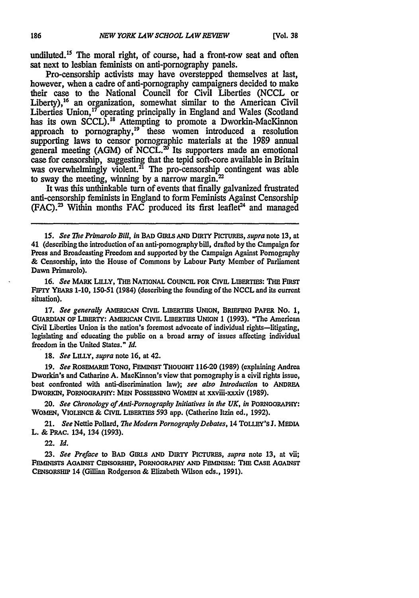undiluted.<sup>15</sup> The moral right, of course, had a front-row seat and often sat next to lesbian feminists on and-pornography panels.

Pro-censorship activists may have overstepped themselves at last, however, when a cadre of anti-pornography campaigners decided to make their case to the National Council for Civil Liberties **(NCCL** or Liberty),<sup>16</sup> an organization, somewhat similar to the American Civil Liberties Union,<sup>17</sup> operating principally in England and Wales (Scotland has its own **SCCL).'8** Attempting to promote a Dworkin-MacKinnon approach to pornography, $19$  these women introduced a resolution supporting laws to censor pornographic materials at the **1989** annual general meeting (AGM) of NCCL.<sup>20</sup> Its supporters made an emotional case for censorship, suggesting that the tepid soft-core available in Britain was overwhelmingly violent. $^{21}$  The pro-censorship contingent was able to sway the meeting, winning **by** a narrow margin.'

It was this unthinkable turn of events that finally galvanized frustrated anti-censorship feminists in England to form Feminists Against Censorship **(FAC).'** Within months **FAC** produced its first leaflet? and managed

*15. See The Primarolo* Bill, *in* **BAD GIRLs AND DIRTY PICTURES,** *supra* **note 13,** at 41 (describing the introduction of an anti-pornography bill, drafted **by** the Campaign for Press and Broadcasting Freedom and supported **by** the Campaign Against Pornography **&** Censorship, into the House of Commons **by** Labour Party Member of Parliament Dawn Primarolo).

**16.** See MARK **LILLY,** THE **NATIONAL COUNCIL FOR** CIVIL **LIBERTIES: THE FIRsT** FIFrY **YEARS** 1-10, 150-51 (1984) (describing the founding of the NCCL and its current situation).

**17.** *See generally* **AMERICAN CIVIL LMERTIES UNION,** BRIEFING PAPER No. **1, GUARDIAN OF LIBERTY:** AMERICAN CIvL **LIBERTIES UNION 1 (1993).** "The American Civil Liberties Union is the nation's foremost advocate of individual rights-litigating, legislating and educating the public on a broad array of issues affecting individual freedom in the United States." *Id.*

**18.** *See* LILLY, *supra* note **16,** at 42.

**19.** *See* **ROSEMARIE TONG, FEMINIST** THOuGHT **116-20 (1989)** (explaining Andrea Dworkin's and Catharine A. MacKinnon's view that pornography is a civil rights issue, best confronted with anti-discrimination law); *see also Introduction* to **ANDREA DWORKIN, PORNOGRAPHY: MEN** POSSESSING WOMEN at xxviii-xxxiv **(1989).**

**20.** *See Chronology of Anti-Pornography Initiatives in the UK, in* **PORNOoRAPHY: WOMEN, VIOLENCE &** CIVIL **LIBERTIES 593** app. (Catherine Itzin ed., **1992).**

21. *See* Nettie Pollard, *The Modern Pornography Debates,* 14 **TOLLY'S J. MEDIA** L. **& PRAC.** 134, 134 **(1993).**

22. *Id.*

**23.** *See Preface* to BAD Gnus **AND** DIRTY **PICrURES,** *supra* note **13,** at vii; **FEMINISTS AGAINST CENSORSHIP,** PORNOGRAPHY **AND FEMINISM: THE CASE AGAINST** CENSORSHIP 14 (Gillian **Rodgerson & Elizabeth Wilson** eds., **1991).**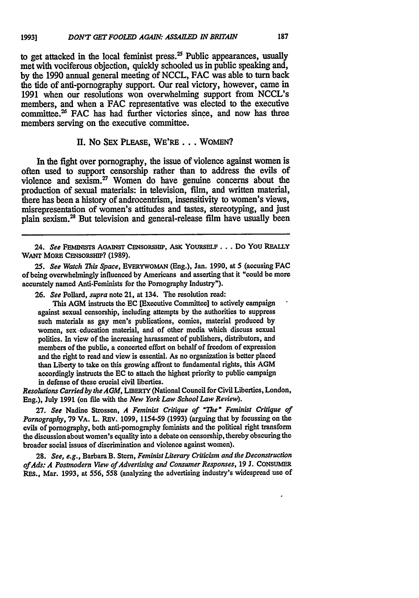to get attacked in the local feminist press.<sup>25</sup> Public appearances, usually met with vociferous objection, quickly schooled us in public speaking and, **by** the **1990** annual general meeting of **NCCL, FAC** was able to **tam** back the tide of anti-pornography support. Our real victory, however, came **in 1991** when our resolutions won overwhelming support from NCCL's members, and when a **FAC** representative was elected to the executive committee.<sup>26</sup> FAC has had further victories since, and now has three members serving on the executive committee.

## **II.** No **SEX PLEASE, WE'RE...** WOMEN?

In the fight over pornography, the issue of violence against women is often used to support censorship rather than to address the evils of violence and sexism. $27$  Women do have genuine concerns about the production of sexual materials: in television, film, and written material, there has been a history of androcentrism, insensitivity to women's views, misrepresentation of women's attitudes and tastes, stereotyping, and just plain sexism.<sup>28</sup> But television and general-release film have usually been

24. *See* **FEMINmTs AGAINST CENSORSHIP, ASK YOURSELF ...** Do You **REALLY** WANT **MORE CENSORSHIP? (1989).**

*25. See Watch This Space,* EvERYWOMAN (Eng.), Jan. **1990,** at 5 (accusing **FAC** of being overwhelmingly influenced **by** Americans and asserting that it "could be more accurately named Anti-Feminists for the Pornography Industry").

*26. See* Pollard, *supra* note 21, at 134. The resolution read:

This **AGM** instructs the **EC** [Executive Committee] to actively campaign against sexual censorship, including attempts **by** the authorities to suppress such materials as gay men's publications, comics, material produced by women, sex education material, and of other media which discuss sexual politics. In view of the increasing harassment of publishers, distributors, and members of the public, a concerted effort on behalf of freedom of expression and the right to read and view is essential. As no organization is better placed than Liberty **to** take on this growing affront to fundamental rights, this **AGM** accordingly instructs the **EC** to attach the highest priority to public campaign in defense of these crucial civil liberties.

*Resolutions Carriedby the AGM,* LIBERTY (National Council for Civil Liberties, London, Eng.), July **1991** (on file with the *New York Law School Law Review).*

**27.** *See* Nadine Strossen, *A Feminist Critique of "The " Feminist Critique of Pornography,* **79** VA. L. REv. **1099,** 1154-59 **(1993)** (arguing that **by** focussing on the evils of pornography, both anti-pornography feminists and the political right transform the discussion about women's equality into a debate on censorship, thereby obscuring the broader social issues of discrimination and violence against women).

**28.** *See, e.g.,* Barbara B. Stern, *Feminist Literary Criticism and the Deconstruction ofAds: A Postmodern View of Advertising and Consumer Responses,* **19 J. CONSUMER** RES., Mar. **1993,** at 556, *558* (analyzing the advertising industry's widespread use of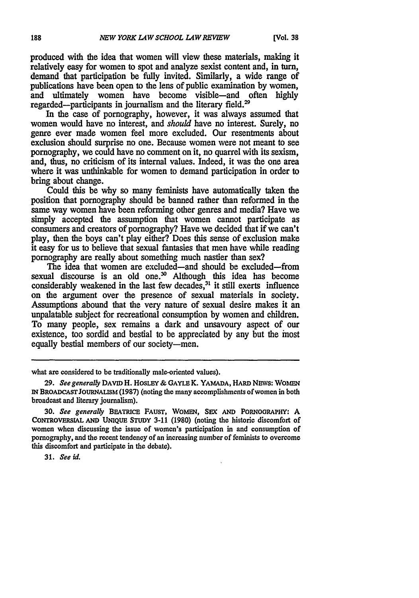produced with the idea that women will view these materials, making it relatively easy for women to spot and analyze sexist content and, in turn, demand that participation be fully invited. Similarly, a wide range of publications have been open to the lens of public examination **by** women, and ultimately women have become visible-and often **highly** regarded-participants in journalism and the literary field.<sup>29</sup>

In the case of pornography, however, it was always assumed that women would have no interest, and *should* have no interest. Surely, no genre ever made women feel more excluded. Our resentments about exclusion should surprise no one. Because women were not meant to see pornography, we could have no comment on it, no quarrel with its sexism, and, thus, no criticism of its internal values. Indeed, it was the one area where it was unthinkable for women to demand participation in order to bring about change.

Could this be why so many feminists have automatically taken the position that pornography should be banned rather than reformed in the same way women have been reforming other genres and media? Have we simply accepted the assumption that women cannot participate as consumers and creators of pornography? Have we decided that if we can't play, then the boys can't play either? Does this sense of exclusion make it easy for us to believe that sexual fantasies that men have while reading pornography are really about something much nastier than sex?

The idea that women are excluded-and should be excluded-from sexual discourse is an old one.<sup>30</sup> Although this idea has become considerably weakened in the last few decades, $3<sup>1</sup>$  it still exerts influence on the argument over the presence of sexual materials in society. Assumptions abound that the very nature of sexual desire makes it an unpalatable subject for recreational consumption **by** women and children. To many people, sex remains a dark and unsavoury aspect of our existence, too sordid and bestial to be appreciated **by** any but the most equally bestial members of our society-men.

what are considered to be traditionally male-oriented values).

**31.** *See id.*

<sup>29.</sup> *See generally DAVID H. HOSLEY & GAYLE K. YAMADA, HARD NEWS: WOMEN* **IN BROADCAST JOURNALISM (1987)** (noting the many accomplishments of women in both broadcast and literary journalism).

**<sup>30.</sup>** *See generally* **BEATRICE FAUST,** WoMEN, SEX **AND** PORNOGRAPHY: **A CONTROVERSIAL AND UNIQUE STUDY 3-11 (1980)** (noting the historic discomfort of women when discussing the issue of women's participation in and consumption of pornography, and the recent tendency of an increasing number of feminists to overcome this discomfort and participate in the debate).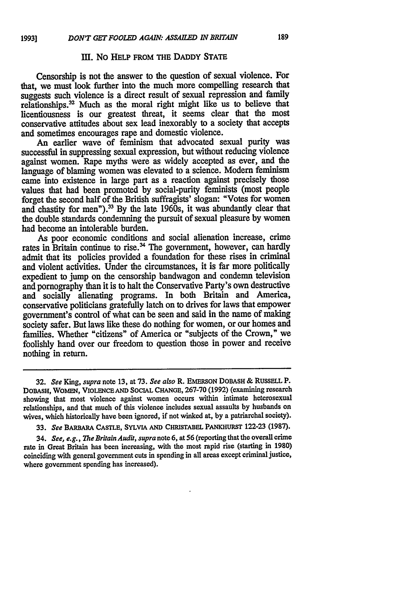## III. NO HELP FROM THE DADDY STATE

Censorship is not the answer to the question of sexual violence. For that, we must look further into the much more compelling research that suggests such violence is a direct result of sexual repression and family relationships.<sup>32</sup> Much as the moral right might like us to believe that licentiousness is our greatest threat, it seems clear that the most conservative attitudes about sex lead inexorably to a society that accepts and sometimes encourages rape and domestic violence.

An earlier wave of feminism that advocated sexual purity was successful in suppressing sexual expression, but without reducing violence against women. Rape myths were as widely accepted as ever, and the language of blaming women was elevated to a science. Modem feminism came into existence in large part as a reaction against precisely those values that had been promoted by social-purity feminists (most people forget the second half of the British suffragists' slogan: "Votes for women and chastity for men").<sup>33</sup> By the late 1960s, it was abundantly clear that the double standards condemning the pursuit of sexual pleasure by women had become an intolerable burden.

As poor economic conditions and social alienation increase, crime rates in Britain continue to rise.<sup>34</sup> The government, however, can hardly admit that its policies provided a foundation for these rises in criminal and violent activities. Under the circumstances, it is far more politically expedient to jump on the censorship bandwagon and condemn television and pornography than it is to halt the Conservative Party's own destructive and socially alienating programs. In both Britain and America, conservative politicians gratefully latch on to drives for laws that empower government's control of what can be seen and said in the name of making society safer. But laws like these do nothing for women, or our homes and families. Whether "citizens" of America or "subjects of the Crown," we foolishly hand over our freedom to question those in power and receive nothing in return.

*34. See, e.g., The Britain Audit, supra* note **6,** at 56 (reporting that the overall crime rate in Great **Britain has** been increasing, with the most **rapid** rise **(starting** in **1980)** coinciding with general government cuts in spending in all areas except criminal justice, where government spending has increased).

**<sup>32.</sup>** *See King, supra* note **13,** at **73.** *See also* R. **EMERSON DOBASH & RUSsELL** P. **DOBASH,** WOMEN, VIOLENCE **AND** SOCIAL **CHANGE, 267-70 (1992)** (examining research showing that most violence against women occurs within intimate heterosexual relationships, and that much of this violence includes sexual assaults **by** husbands on wives, which historically have been ignored, if not winked at, by a patriarchal society).

**<sup>33.</sup>** *See* BARBARA **CASTLE,** SYLvIA **AND** CHRISTABEL PANKHURsT **122-23 (1987).**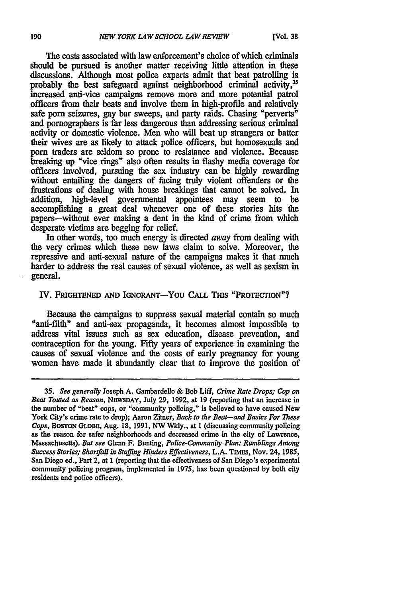The costs associated with law enforcement's choice of which criminals should be pursued is another matter receiving little attention in these discussions. Although most police experts admit that beat patrolling is probably the best safeguard against neighborhood criminal activity.<sup>35</sup> increased anti-vice campaigns remove more and more potential patrol officers from their beats and involve them in high-profile and relatively safe porn seizures, gay bar sweeps, and party raids. Chasing "perverts" and pornographers is far less dangerous than addressing serious criminal activity or domestic violence. Men who will beat up strangers or batter their wives are as likely to attack police officers, but homosexuals and porn traders are seldom so prone to resistance and violence. Because breaking up "vice rings" also often results in flashy media coverage for officers involved, pursuing the sex industry can be highly rewarding without entailing the dangers of facing truly violent offenders or the frustrations of dealing with house breakings that cannot be solved. In addition, high-level governmental appointees may seem to be accomplishing a great deal whenever one of these stories hits the papers-without ever making a dent in the kind of crime from which desperate victims are begging for relief.

In other words, too much energy is directed *away* from dealing with the very crimes which these new laws claim to solve. Moreover, the repressive and anti-sexual nature of the campaigns makes it that much harder to address the real causes of sexual violence, as well as sexism in general.

## **IV. FRIGHTENED AND IGNORANT-YOU CALL THIS "PROTECTION"?**

Because the campaigns to suppress sexual material contain so much "anti-filth" and anti-sex propaganda, it becomes almost impossible to address vital issues such as sex education, disease prevention, and contraception for the young. Fifty years of experience in examining the causes of sexual violence and the costs of early pregnancy for young women have made it abundantly clear that to improve the position of

*<sup>35.</sup> See generally* Joseph A. Gambardello **&** Bob Liff, *Crime Rate Drops; Cop on Beat Touted as Reason,* **NEWSDAY,** July **29, 1992,** at **19** (reporting that an increase in the number of "beat" cops, or "community policing," is believed to have caused New York City's crime rate to drop); Aaron Zitner, *Back to the Beat-and Basics For 7hese Cops,* BOSTON GLOBE, Aug. **18,** 1991, NW Wkly., at 1 (discussing community policing as the reason for safer neighborhoods and decreased crime in the city of Lawrence, Massachusetts). *But see* Glenn F. Bunting, *Police-Community Plan: Rumblings Among Success Stories; Shortfall in Staffing Hinders Effectiveness,* L.A. TIMES, Nov. 24, 1985, San Diego ed., Part 2, at 1 (reporting that the effectiveness of San Diego's experimental community policing program, implemented in 1975, has been questioned **by** both city residents and police officers).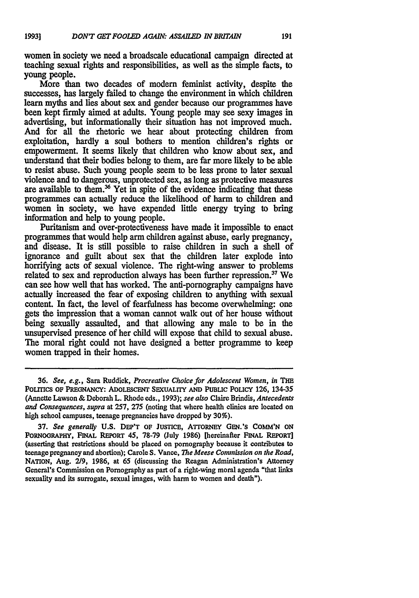women in society we need a broadscale educational campaign directed at teaching sexual rights and responsibilities, as well as the simple facts, to young people.

More than two decades of modem feminist activity, despite the successes, has largely failed to change the environment in which children learn myths and lies about sex and gender because our programmes have been kept firmly aimed at adults. Young people may see sexy images in advertising, but informationally their situation has not improved much. And for all the rhetoric we hear about protecting children from exploitation, hardly a soul bothers to mention children's rights or empowerment. It seems likely that children who know about sex, and understand that their bodies belong to them, are far more likely to be able to resist abuse. Such young people seem to be less prone to later sexual violence and to dangerous, unprotected sex, as long as protective measures are available to them.<sup>36</sup> Yet in spite of the evidence indicating that these programmes can actually reduce the likelihood of harm to children and women in society, we have expended little energy trying to bring information and help to young people.

Puritanism and over-protectiveness have made it impossible to enact programmes that would help arm children against abuse, early pregnancy, and disease. It is still possible to raise children in such a shell of ignorance and guilt about sex that the children later explode into horrifying acts of sexual violence. The right-wing answer to problems related to sex and reproduction always has been further repression.<sup>37</sup> We can see how well that has worked. The anti-pornography campaigns have actually increased the fear of exposing children to anything with sexual content. In fact, the level of fearfuiness has become overwhelming: one gets the impression that a woman cannot walk out of her house without being sexually assaulted, and that allowing any male to be in the unsupervised presence of her child will expose that child to sexual abuse. The moral right could not have designed a better programme to keep women trapped in their homes.

**<sup>36.</sup>** See, e.g., Sara Ruddick, *Procreative Choice for Adolescent Women, in THE* **PoLrrIcs OF PREGNANCY: ADOLESCENT SExUALITY AND PUBLIC PoLICY 126,** 134-35 (Annette Lawson **&** Deborah L. Rhode eds., **1993);** see also Claire Brindis, Antecedents *and Consequences, supra* at **257, 275** (noting that where health clinics are located on high school campuses, teenage pregnancies have dropped **by 30%).**

**<sup>37.</sup>** *See generally* **U.S.** DEP'T **OF JUSTICE, ATTORNEY** GEN.'S COmm'N **ON PORNOoRAPHY, FINAL REPORT** *45,* **78-79** (July **1986)** [hereinafter **FINAL REPORT]** (asserting that restrictions should be placed on pornography because it contributes to teenage pregnancy **and** abortion); Carole **S.** Vance, *The Meese Cormnission on the Road,* **NATION,** Aug. **2/9, 1986,** at *65* (discussing the Reagan Administration's Attorney General's Commission on Pornography as part of a right-wing moral agenda "that links sexuality and its surrogate, sexual images, with harm to women and death").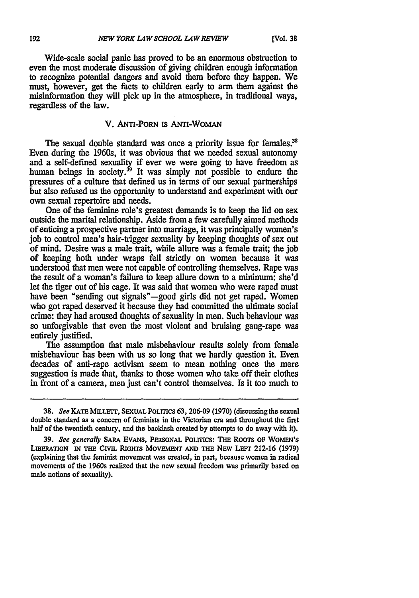Wide-scale social panic has proved to be an enormous obstruction to even the most moderate discussion of giving children enough information to recognize potential dangers and avoid them before they happen. We must, however, get the facts to children early to arm them against the misinformation they will pick up in the atmosphere, in traditional ways, regardless of the law.

## V. ANTI-PoRN **IS** ANTI-WOMAN

The sexual double standard was once a priority issue for females.<sup>38</sup> Even during the 1960s, it was obvious that we needed sexual autonomy and a self-defined sexuality if ever we were going to have freedom as human beings in society.<sup>39</sup> It was simply not possible to endure the pressures of a culture that defined us in terms of our sexual partnerships but also refused us the opportunity to understand and experiment with our own sexual repertoire and needs.

One of the feminine role's greatest demands is to keep the lid on sex outside the marital relationship. Aside from a few carefully aimed methods of enticing a prospective partner into marriage, it was principally women's job to control men's hair-trigger sexuality by keeping thoughts of sex out of mind. Desire was a male trait, while allure was a female trait; the job of keeping both under wraps fell strictly on women because it was understood that men were not capable of controlling themselves. Rape was the result of a woman's failure to keep allure down to a minimum: she'd let the tiger out of his cage. It was said that women who were raped must have been "sending out signals"—good girls did not get raped. Women who got raped deserved it because they had committed the ultimate social crime: they had aroused thoughts of sexuality in men. Such behaviour was so unforgivable that even the most violent and bruising gang-rape was entirely justified.

The assumption that male misbehaviour results solely from female misbehaviour has been with us so long that we hardly question it. Even decades of anti-rape activism seem to mean nothing once the mere suggestion is made that, thanks to those women who take off their clothes in front of a camera, men just can't control themselves. Is it too much to

**38.** *See* **KATE MiLLETr, SEXUAL** POLmcs 63,206-09 **(1970)** (discussing the sexual double standard as a concern of feminists in the Victorian era and throughout the first half of the twentieth century, and the backlash created **by** attempts to do away with it).

**39.** *See generally* **SARA EvANS, PERSONAL POLITICS: THE** RooTs **OF WOMEN'S LIBERATION iN THE CIVIL RIGHTS MOvEMENT AND THE NEw LEFr** 212-16 **(1979)** (explaining that the feminist movement was created, in part, because women in radical movements of the 1960s realized that the new sexual freedom was primarily based on male notions of sexuality).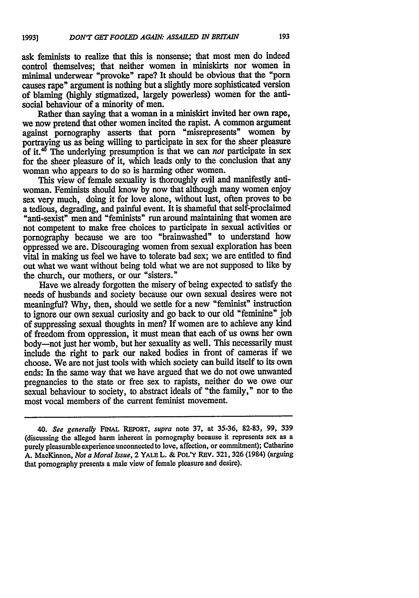ask feminists to realize that this is nonsense; that most men do indeed control themselves; that neither women in miniskirts nor women in minimal underwear "provoke" rape? It should be obvious that the "porn causes rape" argument is nothing but a slightly more sophisticated version of blaming **(highly** stigmatized, largely powerless) women for the antisocial behaviour of a minority of men.

Rather than saying that a woman in a miniskirt invited her own rape, we now pretend that other women incited the rapist. **A** common argument against pornography asserts that porn "misrepresents" women **by** portraying us as being willing to participate in sex for the sheer pleasure of it.<sup>45</sup> The underlying presumption is that we can *not* participate in sex for the sheer pleasure of it, which leads only to the conclusion that any woman who appears to do so is harming other women.

This view of female sexuality is thoroughly evil and manifestly antiwoman. Feminists should know **by** now that although many women enjoy sex very much, doing it for love alone, without lust, often proves to be a tedious, degrading, and painful event. It is shameful that self-proclaimed "anti-sexist" men and "feminists" run around maintaining that women are not competent to make free choices to participate in sexual activities or pornography because we are too "brainwashed" to understand how oppressed we are. Discouraging women from sexual exploration has been vital in making us feel we have to tolerate bad sex; we are entitled to find out what we want without being told what we are not supposed to like by the church, our mothers, or our "sisters."

Have we already forgotten the misery of being expected to satisfy the needs of husbands and society because our own sexual desires were not meaningful? Why, then, should we settle for a new "feminist" instruction to ignore our own sexual curiosity and go back to our old "feminine" job of suppressing sexual thoughts in men? If women are to achieve any kind of freedom from oppression, it must mean that each of us owns her own body-not just her womb, but her sexuality as well. This necessarily must include the right to park our naked bodies in front of cameras if we choose. We are not just tools with which society can build itself to its own ends: In the same way that we have argued that we do not owe unwanted pregnancies to the state or free sex to rapists, neither do we owe our sexual behaviour to society, to abstract ideals of "the family," nor to the most vocal members of the current feminist movement.

*<sup>40.</sup> See generally* **FINAL** REPORT, *supra* note 37, at 35-36, 82-83, 99, 339 (discussing the alleged harm inherent in pornography because it represents sex as a purely pleasurable experience unconnected to love, affection, or commitment); Catharine A. MacKinnon, *Not a Moral Issue,* 2 **YALE** L. & POL'Y REv. 321,326 (1984) (arguing that pornography presents a male view of female pleasure and desire).